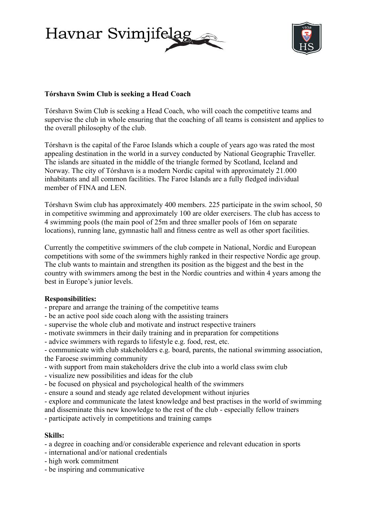Havnar Svimjife



# **Tórshavn Swim Club is seeking a Head Coach**

Tórshavn Swim Club is seeking a Head Coach, who will coach the competitive teams and supervise the club in whole ensuring that the coaching of all teams is consistent and applies to the overall philosophy of the club.

Tórshavn is the capital of the Faroe Islands which a couple of years ago was rated the most appealing destination in the world in a survey conducted by National Geographic Traveller. The islands are situated in the middle of the triangle formed by Scotland, Iceland and Norway. The city of Tórshavn is a modern Nordic capital with approximately 21.000 inhabitants and all common facilities. The Faroe Islands are a fully fledged individual member of FINA and LEN.

Tórshavn Swim club has approximately 400 members. 225 participate in the swim school, 50 in competitive swimming and approximately 100 are older exercisers. The club has access to 4 swimming pools (the main pool of 25m and three smaller pools of 16m on separate locations), running lane, gymnastic hall and fitness centre as well as other sport facilities.

Currently the competitive swimmers of the club compete in National, Nordic and European competitions with some of the swimmers highly ranked in their respective Nordic age group. The club wants to maintain and strengthen its position as the biggest and the best in the country with swimmers among the best in the Nordic countries and within 4 years among the best in Europe's junior levels.

# **Responsibilities:**

- prepare and arrange the training of the competitive teams

- be an active pool side coach along with the assisting trainers
- supervise the whole club and motivate and instruct respective trainers
- motivate swimmers in their daily training and in preparation for competitions

- advice swimmers with regards to lifestyle e.g. food, rest, etc.

- communicate with club stakeholders e.g. board, parents, the national swimming association, the Faroese swimming community

- with support from main stakeholders drive the club into a world class swim club

- visualize new possibilities and ideas for the club
- be focused on physical and psychological health of the swimmers
- ensure a sound and steady age related development without injuries

- explore and communicate the latest knowledge and best practises in the world of swimming

and disseminate this new knowledge to the rest of the club - especially fellow trainers

- participate actively in competitions and training camps

#### **Skills:**

- a degree in coaching and/or considerable experience and relevant education in sports

- international and/or national credentials
- high work commitment
- be inspiring and communicative